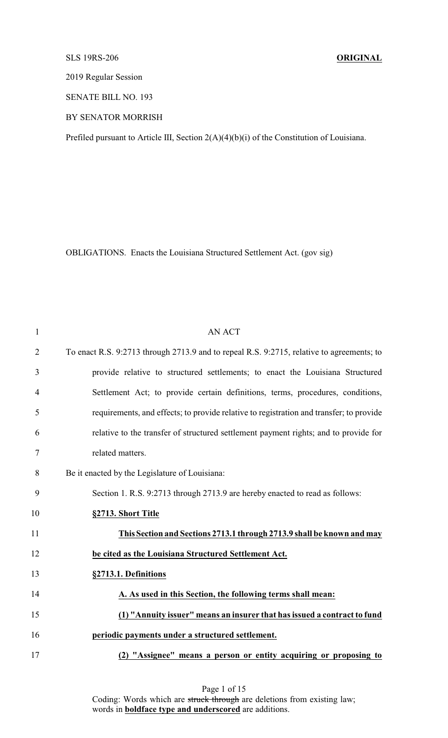## SLS 19RS-206 **ORIGINAL**

2019 Regular Session

SENATE BILL NO. 193

BY SENATOR MORRISH

Prefiled pursuant to Article III, Section 2(A)(4)(b)(i) of the Constitution of Louisiana.

OBLIGATIONS. Enacts the Louisiana Structured Settlement Act. (gov sig)

| $\mathbf{1}$   | <b>AN ACT</b>                                                                             |
|----------------|-------------------------------------------------------------------------------------------|
| $\overline{2}$ | To enact R.S. 9:2713 through 2713.9 and to repeal R.S. 9:2715, relative to agreements; to |
| 3              | provide relative to structured settlements; to enact the Louisiana Structured             |
| 4              | Settlement Act; to provide certain definitions, terms, procedures, conditions,            |
| 5              | requirements, and effects; to provide relative to registration and transfer; to provide   |
| 6              | relative to the transfer of structured settlement payment rights; and to provide for      |
| 7              | related matters.                                                                          |
| 8              | Be it enacted by the Legislature of Louisiana:                                            |
| 9              | Section 1. R.S. 9:2713 through 2713.9 are hereby enacted to read as follows:              |
| 10             | §2713. Short Title                                                                        |
| 11             | This Section and Sections 2713.1 through 2713.9 shall be known and may                    |
| 12             | be cited as the Louisiana Structured Settlement Act.                                      |
| 13             | §2713.1. Definitions                                                                      |
| 14             | A. As used in this Section, the following terms shall mean:                               |
| 15             | (1) "Annuity issuer" means an insurer that has issued a contract to fund                  |
| 16             | periodic payments under a structured settlement.                                          |
| 17             | (2) "Assignee" means a person or entity acquiring or proposing to                         |

Page 1 of 15 Coding: Words which are struck through are deletions from existing law; words in **boldface type and underscored** are additions.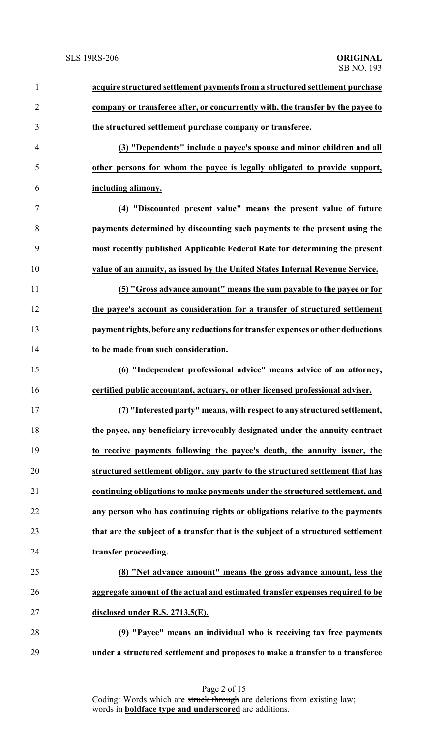| $\mathbf{1}$   | acquire structured settlement payments from a structured settlement purchase      |
|----------------|-----------------------------------------------------------------------------------|
| $\overline{2}$ | company or transferee after, or concurrently with, the transfer by the payee to   |
| 3              | the structured settlement purchase company or transferee.                         |
| $\overline{4}$ | (3) "Dependents" include a payee's spouse and minor children and all              |
| 5              | other persons for whom the payee is legally obligated to provide support,         |
| 6              | including alimony.                                                                |
| $\overline{7}$ | (4) "Discounted present value" means the present value of future                  |
| 8              | payments determined by discounting such payments to the present using the         |
| 9              | most recently published Applicable Federal Rate for determining the present       |
| 10             | value of an annuity, as issued by the United States Internal Revenue Service.     |
| 11             | (5) "Gross advance amount" means the sum payable to the payee or for              |
| 12             | the payee's account as consideration for a transfer of structured settlement      |
| 13             | payment rights, before any reductions for transfer expenses or other deductions   |
| 14             | to be made from such consideration.                                               |
| 15             | (6) "Independent professional advice" means advice of an attorney,                |
| 16             | certified public accountant, actuary, or other licensed professional adviser.     |
| 17             | (7) "Interested party" means, with respect to any structured settlement,          |
| 18             | the payee, any beneficiary irrevocably designated under the annuity contract      |
| 19             | to receive payments following the payee's death, the annuity issuer, the          |
| 20             | structured settlement obligor, any party to the structured settlement that has    |
| 21             | continuing obligations to make payments under the structured settlement, and      |
| 22             | any person who has continuing rights or obligations relative to the payments      |
| 23             | that are the subject of a transfer that is the subject of a structured settlement |
| 24             | transfer proceeding.                                                              |
| 25             | (8) "Net advance amount" means the gross advance amount, less the                 |
| 26             | aggregate amount of the actual and estimated transfer expenses required to be     |
| 27             | disclosed under R.S. 2713.5(E).                                                   |
| 28             | (9) "Payee" means an individual who is receiving tax free payments                |
| 29             | under a structured settlement and proposes to make a transfer to a transferee     |

Page 2 of 15 Coding: Words which are struck through are deletions from existing law; words in **boldface type and underscored** are additions.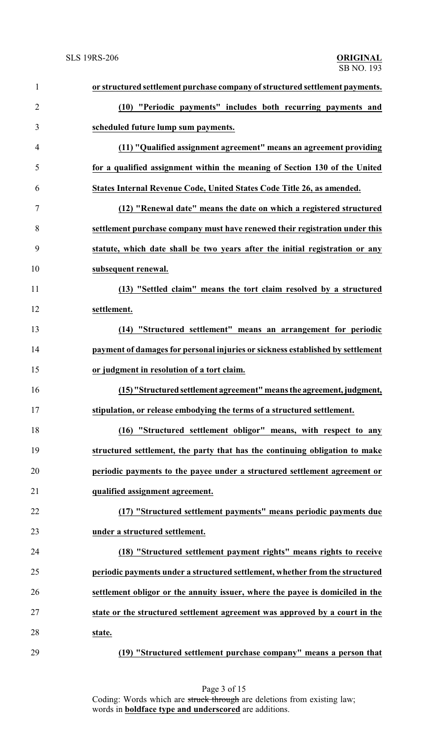| $\mathbf{1}$   | or structured settlement purchase company of structured settlement payments.   |
|----------------|--------------------------------------------------------------------------------|
| $\overline{2}$ | (10) "Periodic payments" includes both recurring payments and                  |
| 3              | scheduled future lump sum payments.                                            |
| $\overline{4}$ | (11) "Qualified assignment agreement" means an agreement providing             |
| 5              | for a qualified assignment within the meaning of Section 130 of the United     |
| 6              | States Internal Revenue Code, United States Code Title 26, as amended.         |
| $\tau$         | (12) "Renewal date" means the date on which a registered structured            |
| 8              | settlement purchase company must have renewed their registration under this    |
| 9              | statute, which date shall be two years after the initial registration or any   |
| 10             | subsequent renewal.                                                            |
| 11             | (13) "Settled claim" means the tort claim resolved by a structured             |
| 12             | settlement.                                                                    |
| 13             | (14) "Structured settlement" means an arrangement for periodic                 |
| 14             | payment of damages for personal injuries or sickness established by settlement |
| 15             | or judgment in resolution of a tort claim.                                     |
| 16             | (15) "Structured settlement agreement" means the agreement, judgment,          |
| 17             | stipulation, or release embodying the terms of a structured settlement.        |
| 18             | (16) "Structured settlement obligor" means, with respect to any                |
| 19             | structured settlement, the party that has the continuing obligation to make    |
| 20             | periodic payments to the payee under a structured settlement agreement or      |
| 21             | qualified assignment agreement.                                                |
| 22             | (17) "Structured settlement payments" means periodic payments due              |
| 23             | under a structured settlement.                                                 |
| 24             | (18) "Structured settlement payment rights" means rights to receive            |
| 25             | periodic payments under a structured settlement, whether from the structured   |
| 26             | settlement obligor or the annuity issuer, where the payee is domiciled in the  |
| 27             | state or the structured settlement agreement was approved by a court in the    |
| 28             | state.                                                                         |
| 29             | (19) "Structured settlement purchase company" means a person that              |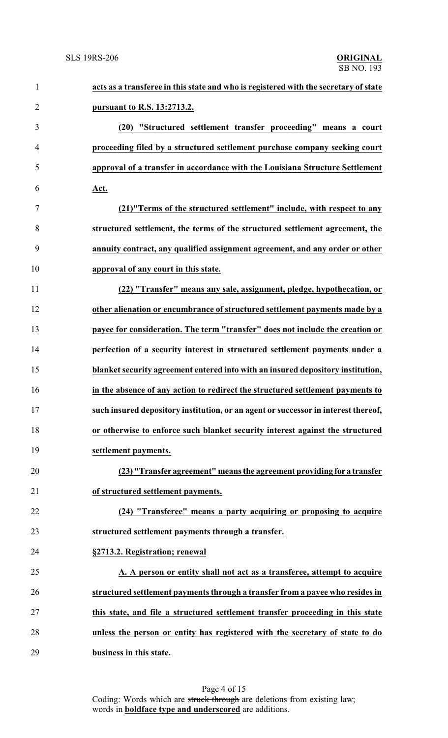| $\mathbf{1}$   | acts as a transferee in this state and who is registered with the secretary of state |
|----------------|--------------------------------------------------------------------------------------|
| $\overline{2}$ | pursuant to R.S. 13:2713.2.                                                          |
| 3              | (20) "Structured settlement transfer proceeding" means a court                       |
| $\overline{4}$ | proceeding filed by a structured settlement purchase company seeking court           |
| 5              | approval of a transfer in accordance with the Louisiana Structure Settlement         |
| 6              | Act.                                                                                 |
| 7              | (21)"Terms of the structured settlement" include, with respect to any                |
| 8              | structured settlement, the terms of the structured settlement agreement, the         |
| 9              | annuity contract, any qualified assignment agreement, and any order or other         |
| 10             | approval of any court in this state.                                                 |
| 11             | (22) "Transfer" means any sale, assignment, pledge, hypothecation, or                |
| 12             | other alienation or encumbrance of structured settlement payments made by a          |
| 13             | payee for consideration. The term "transfer" does not include the creation or        |
| 14             | perfection of a security interest in structured settlement payments under a          |
| 15             | blanket security agreement entered into with an insured depository institution,      |
| 16             | in the absence of any action to redirect the structured settlement payments to       |
| 17             | such insured depository institution, or an agent or successor in interest thereof,   |
| 18             | or otherwise to enforce such blanket security interest against the structured        |
| 19             | settlement payments.                                                                 |
| 20             | (23) "Transfer agreement" means the agreement providing for a transfer               |
| 21             | of structured settlement payments.                                                   |
| 22             | (24) "Transferee" means a party acquiring or proposing to acquire                    |
| 23             | structured settlement payments through a transfer.                                   |
| 24             | §2713.2. Registration; renewal                                                       |
| 25             | A. A person or entity shall not act as a transferee, attempt to acquire              |
| 26             | structured settlement payments through a transfer from a payee who resides in        |
| 27             | this state, and file a structured settlement transfer proceeding in this state       |
| 28             | unless the person or entity has registered with the secretary of state to do         |
| 29             | business in this state.                                                              |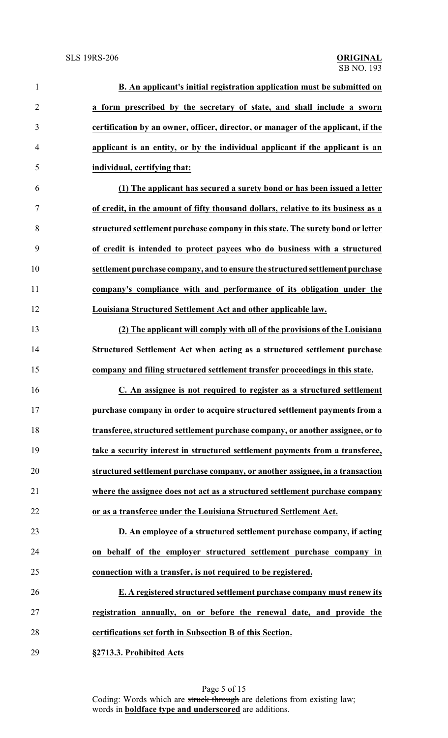| $\mathbf{1}$   | B. An applicant's initial registration application must be submitted on           |
|----------------|-----------------------------------------------------------------------------------|
| $\overline{2}$ | a form prescribed by the secretary of state, and shall include a sworn            |
| 3              | certification by an owner, officer, director, or manager of the applicant, if the |
| 4              | applicant is an entity, or by the individual applicant if the applicant is an     |
| 5              | individual, certifying that:                                                      |
| 6              | (1) The applicant has secured a surety bond or has been issued a letter           |
| $\tau$         | of credit, in the amount of fifty thousand dollars, relative to its business as a |
| $8\,$          | structured settlement purchase company in this state. The surety bond or letter   |
| 9              | of credit is intended to protect payees who do business with a structured         |
| 10             | settlement purchase company, and to ensure the structured settlement purchase     |
| 11             | company's compliance with and performance of its obligation under the             |
| 12             | Louisiana Structured Settlement Act and other applicable law.                     |
| 13             | (2) The applicant will comply with all of the provisions of the Louisiana         |
| 14             | Structured Settlement Act when acting as a structured settlement purchase         |
| 15             | company and filing structured settlement transfer proceedings in this state.      |
| 16             | C. An assignee is not required to register as a structured settlement             |
| 17             | purchase company in order to acquire structured settlement payments from a        |
| 18             | transferee, structured settlement purchase company, or another assignee, or to    |
| 19             | take a security interest in structured settlement payments from a transferee,     |
| 20             | structured settlement purchase company, or another assignee, in a transaction     |
| 21             | where the assignee does not act as a structured settlement purchase company       |
| 22             | or as a transferee under the Louisiana Structured Settlement Act.                 |
| 23             | D. An employee of a structured settlement purchase company, if acting             |
| 24             | on behalf of the employer structured settlement purchase company in               |
| 25             | connection with a transfer, is not required to be registered.                     |
| 26             | E. A registered structured settlement purchase company must renew its             |
| 27             | registration annually, on or before the renewal date, and provide the             |
| 28             | certifications set forth in Subsection B of this Section.                         |
| 29             | §2713.3. Prohibited Acts                                                          |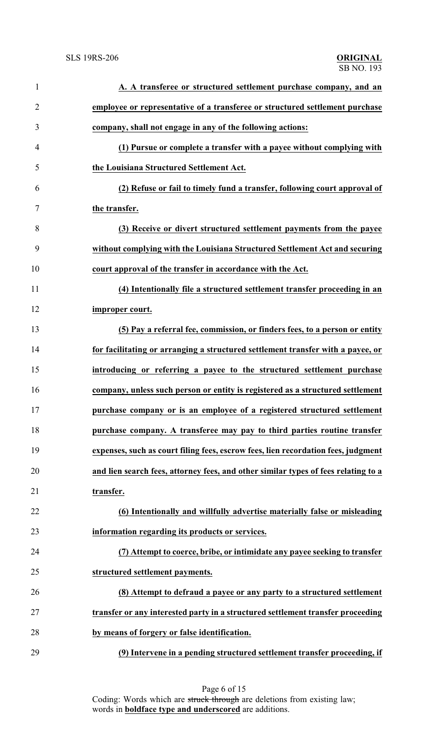| $\mathbf{1}$   | A. A transferee or structured settlement purchase company, and an                  |
|----------------|------------------------------------------------------------------------------------|
| $\overline{2}$ | employee or representative of a transferee or structured settlement purchase       |
| 3              | company, shall not engage in any of the following actions:                         |
| $\overline{4}$ | (1) Pursue or complete a transfer with a payee without complying with              |
| 5              | the Louisiana Structured Settlement Act.                                           |
| 6              | (2) Refuse or fail to timely fund a transfer, following court approval of          |
| $\tau$         | the transfer.                                                                      |
| 8              | (3) Receive or divert structured settlement payments from the payee                |
| 9              | without complying with the Louisiana Structured Settlement Act and securing        |
| 10             | court approval of the transfer in accordance with the Act.                         |
| 11             | (4) Intentionally file a structured settlement transfer proceeding in an           |
| 12             | improper court.                                                                    |
| 13             | (5) Pay a referral fee, commission, or finders fees, to a person or entity         |
| 14             | for facilitating or arranging a structured settlement transfer with a payee, or    |
| 15             | introducing or referring a payee to the structured settlement purchase             |
| 16             | company, unless such person or entity is registered as a structured settlement     |
| 17             | purchase company or is an employee of a registered structured settlement           |
| 18             | purchase company. A transferee may pay to third parties routine transfer           |
| 19             | expenses, such as court filing fees, escrow fees, lien recordation fees, judgment  |
| 20             | and lien search fees, attorney fees, and other similar types of fees relating to a |
| 21             | transfer.                                                                          |
| 22             | (6) Intentionally and willfully advertise materially false or misleading           |
| 23             | information regarding its products or services.                                    |
| 24             | (7) Attempt to coerce, bribe, or intimidate any payee seeking to transfer          |
| 25             | structured settlement payments.                                                    |
| 26             | (8) Attempt to defraud a payee or any party to a structured settlement             |
| 27             | transfer or any interested party in a structured settlement transfer proceeding    |
| 28             | by means of forgery or false identification.                                       |
| 29             | (9) Intervene in a pending structured settlement transfer proceeding, if           |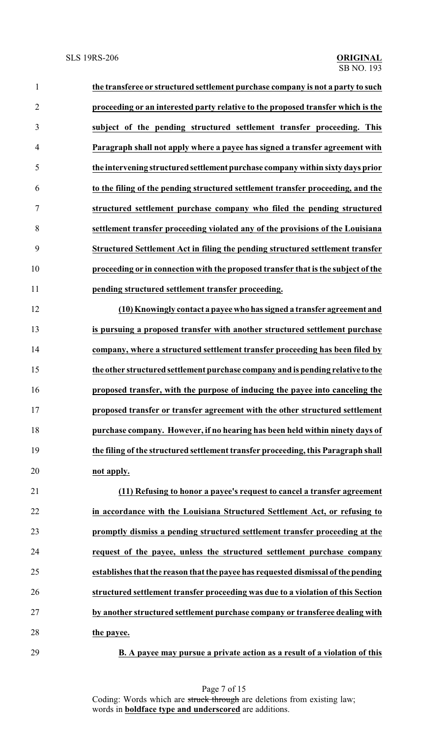| proceeding or an interested party relative to the proposed transfer which is the  |
|-----------------------------------------------------------------------------------|
| subject of the pending structured settlement transfer proceeding. This            |
| Paragraph shall not apply where a payee has signed a transfer agreement with      |
| the intervening structured settlement purchase company within sixty days prior    |
| to the filing of the pending structured settlement transfer proceeding, and the   |
| structured settlement purchase company who filed the pending structured           |
| settlement transfer proceeding violated any of the provisions of the Louisiana    |
| Structured Settlement Act in filing the pending structured settlement transfer    |
| proceeding or in connection with the proposed transfer that is the subject of the |
| pending structured settlement transfer proceeding.                                |
| (10) Knowingly contact a payee who has signed a transfer agreement and            |
| is pursuing a proposed transfer with another structured settlement purchase       |
| company, where a structured settlement transfer proceeding has been filed by      |
| the other structured settlement purchase company and is pending relative to the   |
| proposed transfer, with the purpose of inducing the payee into canceling the      |
| proposed transfer or transfer agreement with the other structured settlement      |
| purchase company. However, if no hearing has been held within ninety days of      |
| the filing of the structured settlement transfer proceeding, this Paragraph shall |
| not apply.                                                                        |
| (11) Refusing to honor a payee's request to cancel a transfer agreement           |
| in accordance with the Louisiana Structured Settlement Act, or refusing to        |
| promptly dismiss a pending structured settlement transfer proceeding at the       |
| request of the payee, unless the structured settlement purchase company           |
| establishes that the reason that the payee has requested dismissal of the pending |
| structured settlement transfer proceeding was due to a violation of this Section  |
| by another structured settlement purchase company or transferee dealing with      |
| the payee.                                                                        |
|                                                                                   |

**B. A payee may pursue a private action as a result of a violation of this**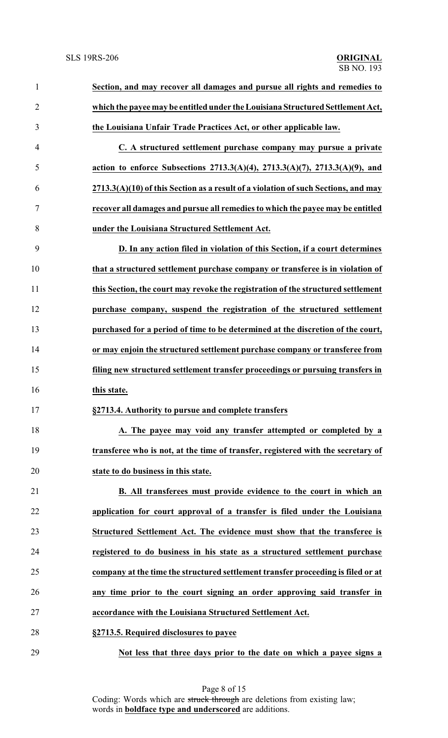| $\mathbf{1}$   | Section, and may recover all damages and pursue all rights and remedies to         |
|----------------|------------------------------------------------------------------------------------|
| $\overline{2}$ | which the payee may be entitled under the Louisiana Structured Settlement Act,     |
| 3              | the Louisiana Unfair Trade Practices Act, or other applicable law.                 |
| 4              | C. A structured settlement purchase company may pursue a private                   |
| 5              | action to enforce Subsections 2713.3(A)(4), 2713.3(A)(7), 2713.3(A)(9), and        |
| 6              | 2713.3(A)(10) of this Section as a result of a violation of such Sections, and may |
| 7              | recover all damages and pursue all remedies to which the payee may be entitled     |
| 8              | under the Louisiana Structured Settlement Act.                                     |
| 9              | D. In any action filed in violation of this Section, if a court determines         |
| 10             | that a structured settlement purchase company or transferee is in violation of     |
| 11             | this Section, the court may revoke the registration of the structured settlement   |
| 12             | purchase company, suspend the registration of the structured settlement            |
| 13             | purchased for a period of time to be determined at the discretion of the court,    |
| 14             | or may enjoin the structured settlement purchase company or transferee from        |
| 15             | filing new structured settlement transfer proceedings or pursuing transfers in     |
| 16             | this state.                                                                        |
| 17             | §2713.4. Authority to pursue and complete transfers                                |
| 18             | A. The payee may void any transfer attempted or completed by a                     |
| 19             | transferee who is not, at the time of transfer, registered with the secretary of   |
| 20             | state to do business in this state.                                                |
| 21             | B. All transferees must provide evidence to the court in which an                  |
| 22             | application for court approval of a transfer is filed under the Louisiana          |
| 23             | Structured Settlement Act. The evidence must show that the transferee is           |
| 24             | registered to do business in his state as a structured settlement purchase         |
| 25             | company at the time the structured settlement transfer proceeding is filed or at   |
| 26             | any time prior to the court signing an order approving said transfer in            |
| 27             | accordance with the Louisiana Structured Settlement Act.                           |
| 28             | §2713.5. Required disclosures to payee                                             |
| 29             | Not less that three days prior to the date on which a payee signs a                |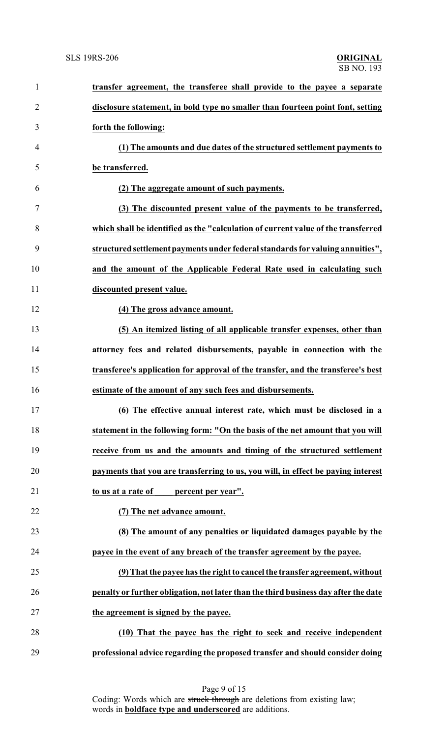| $\mathbf{1}$   | transfer agreement, the transferee shall provide to the payee a separate            |
|----------------|-------------------------------------------------------------------------------------|
| $\overline{2}$ | disclosure statement, in bold type no smaller than fourteen point font, setting     |
| 3              | forth the following:                                                                |
| 4              | (1) The amounts and due dates of the structured settlement payments to              |
| 5              | be transferred.                                                                     |
| 6              | (2) The aggregate amount of such payments.                                          |
| 7              | (3) The discounted present value of the payments to be transferred,                 |
| 8              | which shall be identified as the "calculation of current value of the transferred   |
| 9              | structured settlement payments under federal standards for valuing annuities",      |
| 10             | and the amount of the Applicable Federal Rate used in calculating such              |
| 11             | discounted present value.                                                           |
| 12             | (4) The gross advance amount.                                                       |
| 13             | (5) An itemized listing of all applicable transfer expenses, other than             |
| 14             | attorney fees and related disbursements, payable in connection with the             |
| 15             | transferee's application for approval of the transfer, and the transferee's best    |
| 16             | estimate of the amount of any such fees and disbursements.                          |
| 17             | (6) The effective annual interest rate, which must be disclosed in a                |
| 18             | statement in the following form: "On the basis of the net amount that you will      |
| 19             | receive from us and the amounts and timing of the structured settlement             |
| 20             | payments that you are transferring to us, you will, in effect be paying interest    |
| 21             | to us at a rate of<br>percent per year".                                            |
| 22             | (7) The net advance amount.                                                         |
| 23             | (8) The amount of any penalties or liquidated damages payable by the                |
| 24             | payee in the event of any breach of the transfer agreement by the payee.            |
| 25             | (9) That the payee has the right to cancel the transfer agreement, without          |
| 26             | penalty or further obligation, not later than the third business day after the date |
| 27             | the agreement is signed by the payee.                                               |
| 28             | (10) That the payee has the right to seek and receive independent                   |
| 29             | professional advice regarding the proposed transfer and should consider doing       |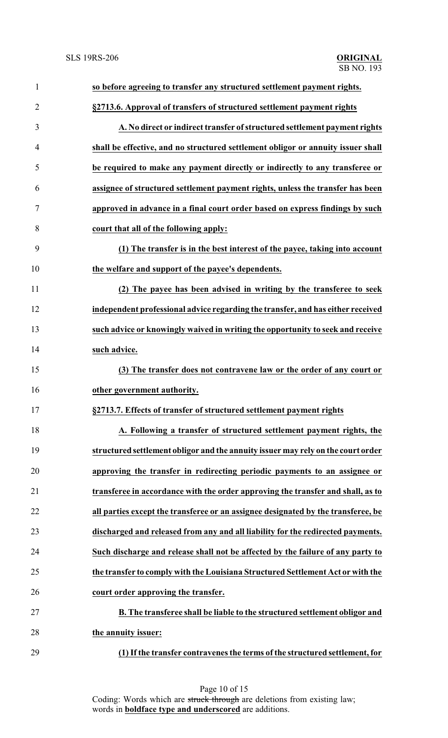| $\mathbf{1}$   | so before agreeing to transfer any structured settlement payment rights.          |
|----------------|-----------------------------------------------------------------------------------|
| $\overline{2}$ | §2713.6. Approval of transfers of structured settlement payment rights            |
| 3              | A. No direct or indirect transfer of structured settlement payment rights         |
| 4              | shall be effective, and no structured settlement obligor or annuity issuer shall  |
| 5              | be required to make any payment directly or indirectly to any transferee or       |
| 6              | assignee of structured settlement payment rights, unless the transfer has been    |
| 7              | approved in advance in a final court order based on express findings by such      |
| 8              | court that all of the following apply:                                            |
| 9              | (1) The transfer is in the best interest of the payee, taking into account        |
| 10             | the welfare and support of the payee's dependents.                                |
| 11             | (2) The payee has been advised in writing by the transferee to seek               |
| 12             | independent professional advice regarding the transfer, and has either received   |
| 13             | such advice or knowingly waived in writing the opportunity to seek and receive    |
| 14             | such advice.                                                                      |
| 15             | (3) The transfer does not contravene law or the order of any court or             |
| 16             | other government authority.                                                       |
| 17             | §2713.7. Effects of transfer of structured settlement payment rights              |
| 18             | A. Following a transfer of structured settlement payment rights, the              |
| 19             | structured settlement obligor and the annuity issuer may rely on the court order  |
| 20             | approving the transfer in redirecting periodic payments to an assignee or         |
| 21             | transferee in accordance with the order approving the transfer and shall, as to   |
| 22             | all parties except the transferee or an assignee designated by the transferee, be |
| 23             | discharged and released from any and all liability for the redirected payments.   |
| 24             | Such discharge and release shall not be affected by the failure of any party to   |
| 25             | the transfer to comply with the Louisiana Structured Settlement Act or with the   |
| 26             | court order approving the transfer.                                               |
| 27             | B. The transferee shall be liable to the structured settlement obligor and        |
| 28             | the annuity issuer:                                                               |
| 29             | (1) If the transfer contravenes the terms of the structured settlement, for       |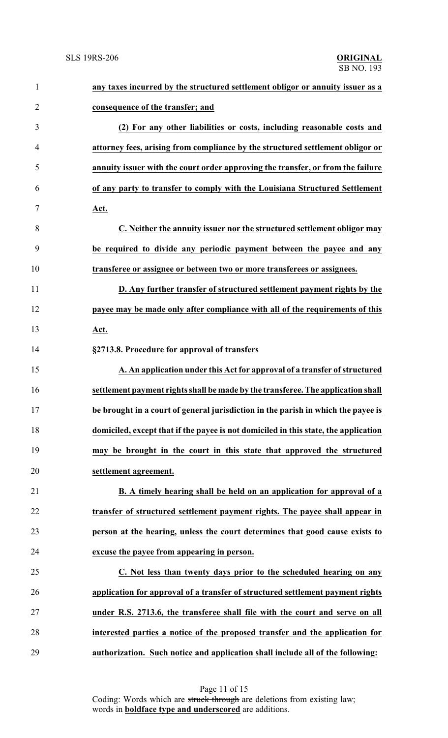| $\mathbf{1}$   | any taxes incurred by the structured settlement obligor or annuity issuer as a      |
|----------------|-------------------------------------------------------------------------------------|
| $\overline{2}$ | consequence of the transfer; and                                                    |
| 3              | (2) For any other liabilities or costs, including reasonable costs and              |
| $\overline{4}$ | attorney fees, arising from compliance by the structured settlement obligor or      |
| 5              | annuity issuer with the court order approving the transfer, or from the failure     |
| 6              | of any party to transfer to comply with the Louisiana Structured Settlement         |
| $\tau$         | Act.                                                                                |
| 8              | C. Neither the annuity issuer nor the structured settlement obligor may             |
| 9              | be required to divide any periodic payment between the payee and any                |
| 10             | transferee or assignee or between two or more transferees or assignees.             |
| 11             | D. Any further transfer of structured settlement payment rights by the              |
| 12             | payee may be made only after compliance with all of the requirements of this        |
| 13             | <u>Act.</u>                                                                         |
| 14             | §2713.8. Procedure for approval of transfers                                        |
| 15             | A. An application under this Act for approval of a transfer of structured           |
| 16             | settlement payment rights shall be made by the transferee. The application shall    |
| 17             | be brought in a court of general jurisdiction in the parish in which the payee is   |
| 18             | domiciled, except that if the payee is not domiciled in this state, the application |
| 19             | may be brought in the court in this state that approved the structured              |
| 20             | settlement agreement.                                                               |
| 21             | B. A timely hearing shall be held on an application for approval of a               |
| 22             | transfer of structured settlement payment rights. The payee shall appear in         |
| 23             | person at the hearing, unless the court determines that good cause exists to        |
| 24             | excuse the payee from appearing in person.                                          |
| 25             | C. Not less than twenty days prior to the scheduled hearing on any                  |
| 26             | application for approval of a transfer of structured settlement payment rights      |
| 27             | under R.S. 2713.6, the transferee shall file with the court and serve on all        |
| 28             | interested parties a notice of the proposed transfer and the application for        |
| 29             | authorization. Such notice and application shall include all of the following:      |

Page 11 of 15 Coding: Words which are struck through are deletions from existing law; words in **boldface type and underscored** are additions.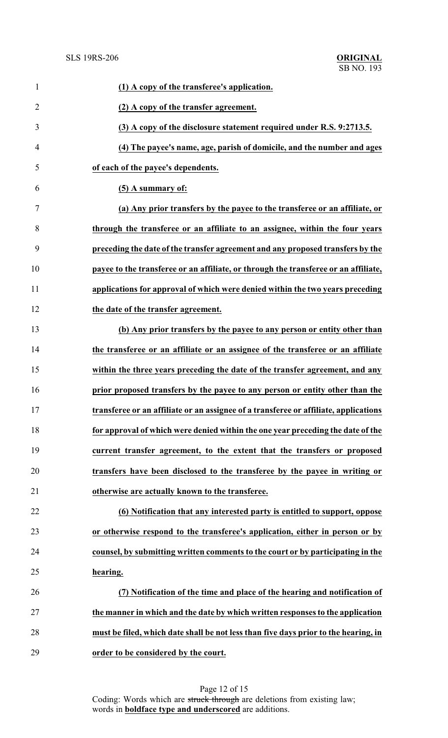**ORIGINAL**<br>SB NO. 193

| $\mathbf{1}$   | (1) A copy of the transferee's application.                                          |
|----------------|--------------------------------------------------------------------------------------|
| $\overline{2}$ | (2) A copy of the transfer agreement.                                                |
| 3              | (3) A copy of the disclosure statement required under R.S. 9:2713.5.                 |
| 4              | (4) The payee's name, age, parish of domicile, and the number and ages               |
| 5              | of each of the payee's dependents.                                                   |
| 6              | (5) A summary of:                                                                    |
| 7              | (a) Any prior transfers by the payee to the transferee or an affiliate, or           |
| 8              | through the transferee or an affiliate to an assignee, within the four years         |
| 9              | preceding the date of the transfer agreement and any proposed transfers by the       |
| 10             | payee to the transferee or an affiliate, or through the transferee or an affiliate,  |
| 11             | applications for approval of which were denied within the two years preceding        |
| 12             | the date of the transfer agreement.                                                  |
| 13             | (b) Any prior transfers by the payee to any person or entity other than              |
| 14             | the transferee or an affiliate or an assignee of the transferee or an affiliate      |
| 15             | within the three years preceding the date of the transfer agreement, and any         |
| 16             | prior proposed transfers by the payee to any person or entity other than the         |
| 17             | transferee or an affiliate or an assignee of a transferee or affiliate, applications |
| 18             | for approval of which were denied within the one year preceding the date of the      |
| 19             | current transfer agreement, to the extent that the transfers or proposed             |
| 20             | transfers have been disclosed to the transferee by the payee in writing or           |
| 21             | otherwise are actually known to the transferee.                                      |
| 22             | (6) Notification that any interested party is entitled to support, oppose            |
| 23             | or otherwise respond to the transferee's application, either in person or by         |
| 24             | counsel, by submitting written comments to the court or by participating in the      |
| 25             | hearing.                                                                             |
| 26             | (7) Notification of the time and place of the hearing and notification of            |
| 27             | the manner in which and the date by which written responses to the application       |
| 28             | must be filed, which date shall be not less than five days prior to the hearing, in  |
| 29             | order to be considered by the court.                                                 |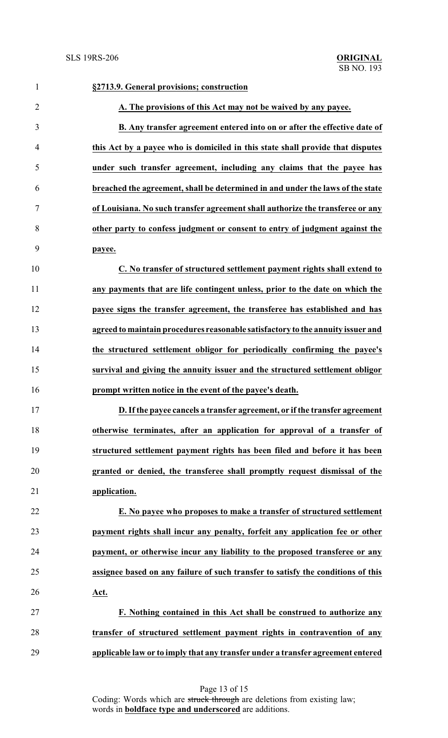| $\mathbf{1}$   | §2713.9. General provisions; construction                                        |
|----------------|----------------------------------------------------------------------------------|
| $\overline{2}$ | A. The provisions of this Act may not be waived by any payee.                    |
| 3              | B. Any transfer agreement entered into on or after the effective date of         |
| 4              | this Act by a payee who is domiciled in this state shall provide that disputes   |
| 5              | under such transfer agreement, including any claims that the payee has           |
| 6              | breached the agreement, shall be determined in and under the laws of the state   |
| 7              | of Louisiana. No such transfer agreement shall authorize the transferee or any   |
| 8              | other party to confess judgment or consent to entry of judgment against the      |
| 9              | payee.                                                                           |
| 10             | C. No transfer of structured settlement payment rights shall extend to           |
| 11             | any payments that are life contingent unless, prior to the date on which the     |
| 12             | payee signs the transfer agreement, the transferee has established and has       |
| 13             | agreed to maintain procedures reasonable satisfactory to the annuity issuer and  |
| 14             | the structured settlement obligor for periodically confirming the payee's        |
| 15             | survival and giving the annuity issuer and the structured settlement obligor     |
| 16             | prompt written notice in the event of the payee's death.                         |
| 17             | D. If the payee cancels a transfer agreement, or if the transfer agreement       |
| 18             | otherwise terminates, after an application for approval of a transfer of         |
| 19             | structured settlement payment rights has been filed and before it has been       |
| 20             | granted or denied, the transferee shall promptly request dismissal of the        |
| 21             | application.                                                                     |
| 22             | E. No payee who proposes to make a transfer of structured settlement             |
| 23             | payment rights shall incur any penalty, forfeit any application fee or other     |
| 24             | payment, or otherwise incur any liability to the proposed transferee or any      |
| 25             | assignee based on any failure of such transfer to satisfy the conditions of this |
| 26             | Act.                                                                             |
| 27             | F. Nothing contained in this Act shall be construed to authorize any             |
| 28             | transfer of structured settlement payment rights in contravention of any         |
| 29             | applicable law or to imply that any transfer under a transfer agreement entered  |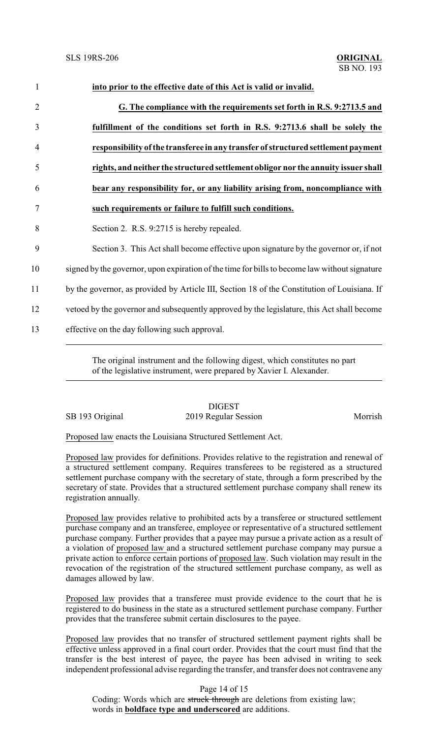| $\mathbf{1}$   | into prior to the effective date of this Act is valid or invalid.                             |
|----------------|-----------------------------------------------------------------------------------------------|
| $\overline{2}$ | G. The compliance with the requirements set forth in R.S. 9:2713.5 and                        |
| 3              | fulfillment of the conditions set forth in R.S. 9:2713.6 shall be solely the                  |
| 4              | responsibility of the transferee in any transfer of structured settlement payment             |
| 5              | rights, and neither the structured settlement obligor nor the annuity issuer shall            |
| 6              | bear any responsibility for, or any liability arising from, noncompliance with                |
| 7              | such requirements or failure to fulfill such conditions.                                      |
| 8              | Section 2. R.S. 9:2715 is hereby repealed.                                                    |
| 9              | Section 3. This Act shall become effective upon signature by the governor or, if not          |
| 10             | signed by the governor, upon expiration of the time for bills to become law without signature |
| 11             | by the governor, as provided by Article III, Section 18 of the Constitution of Louisiana. If  |
| 12             | vetoed by the governor and subsequently approved by the legislature, this Act shall become    |
| 13             | effective on the day following such approval.                                                 |
|                |                                                                                               |

The original instrument and the following digest, which constitutes no part of the legislative instrument, were prepared by Xavier I. Alexander.

## **DIGEST** SB 193 Original 2019 Regular Session Morrish

Proposed law enacts the Louisiana Structured Settlement Act.

Proposed law provides for definitions. Provides relative to the registration and renewal of a structured settlement company. Requires transferees to be registered as a structured settlement purchase company with the secretary of state, through a form prescribed by the secretary of state. Provides that a structured settlement purchase company shall renew its registration annually.

Proposed law provides relative to prohibited acts by a transferee or structured settlement purchase company and an transferee, employee or representative of a structured settlement purchase company. Further provides that a payee may pursue a private action as a result of a violation of proposed law and a structured settlement purchase company may pursue a private action to enforce certain portions of proposed law. Such violation may result in the revocation of the registration of the structured settlement purchase company, as well as damages allowed by law.

Proposed law provides that a transferee must provide evidence to the court that he is registered to do business in the state as a structured settlement purchase company. Further provides that the transferee submit certain disclosures to the payee.

Proposed law provides that no transfer of structured settlement payment rights shall be effective unless approved in a final court order. Provides that the court must find that the transfer is the best interest of payee, the payee has been advised in writing to seek independent professional advise regarding the transfer, and transfer does not contravene any

Page 14 of 15

Coding: Words which are struck through are deletions from existing law; words in **boldface type and underscored** are additions.